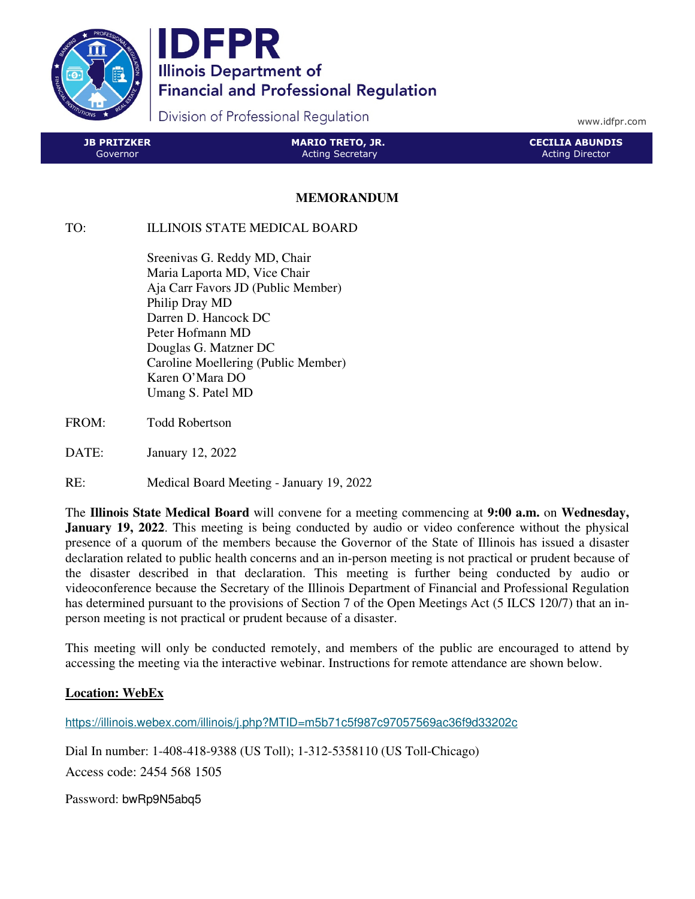

IDFPR **Illinois Department of Financial and Professional Regulation** 

Division of Professional Regulation

www.idfpr.com

| LJB PRITZKER I | <b>MARIO TRETO, JR.</b> | <b>CECILIA ABUNDIS</b> |
|----------------|-------------------------|------------------------|
| Governor       | <b>Acting Secretary</b> | Acting Director        |

## **MEMORANDUM**

## TO: ILLINOIS STATE MEDICAL BOARD

 Sreenivas G. Reddy MD, Chair Maria Laporta MD, Vice Chair Aja Carr Favors JD (Public Member) Philip Dray MD Darren D. Hancock DC Peter Hofmann MD Douglas G. Matzner DC Caroline Moellering (Public Member) Karen O'Mara DO Umang S. Patel MD

- FROM: Todd Robertson
- DATE: January 12, 2022
- RE: Medical Board Meeting January 19, 2022

The **Illinois State Medical Board** will convene for a meeting commencing at **9:00 a.m.** on **Wednesday, January 19, 2022.** This meeting is being conducted by audio or video conference without the physical presence of a quorum of the members because the Governor of the State of Illinois has issued a disaster declaration related to public health concerns and an in-person meeting is not practical or prudent because of the disaster described in that declaration. This meeting is further being conducted by audio or videoconference because the Secretary of the Illinois Department of Financial and Professional Regulation has determined pursuant to the provisions of Section 7 of the Open Meetings Act (5 ILCS 120/7) that an inperson meeting is not practical or prudent because of a disaster.

This meeting will only be conducted remotely, and members of the public are encouraged to attend by accessing the meeting via the interactive webinar. Instructions for remote attendance are shown below.

## **Location: WebEx**

https://illinois.webex.com/illinois/j.php?MTID=m5b71c5f987c97057569ac36f9d33202c

Dial In number: 1-408-418-9388 (US Toll); 1-312-5358110 (US Toll-Chicago)

Access code: 2454 568 1505

Password: bwRp9N5abq5